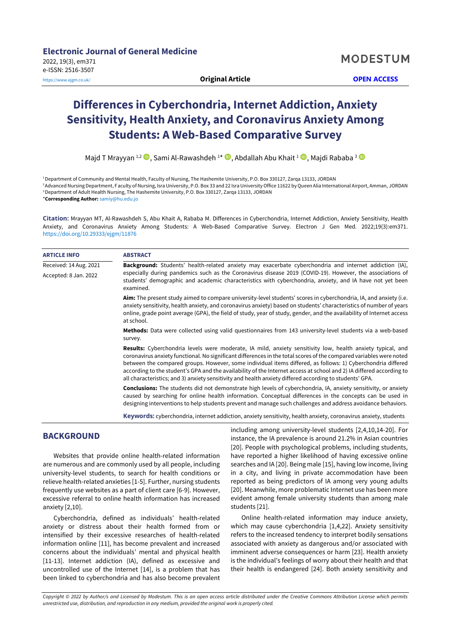# **Differences in Cyberchondria, Internet Addiction, Anxiety Sensitivity, Health Anxiety, and Coronavirus Anxiety Among Students: A Web-Based Comparative Survey**

Majd T Mrayyan 1,2 D, Sami Al-Rawashdeh 1\* D, Abdallah Abu Khait 1 D, Majdi Rababa <sup>3</sup>

<sup>1</sup>Department of Community and Mental Health, Faculty of Nursing, The Hashemite University, P.O. Box 330127, Zarqa 13133, JORDAN <sup>2</sup>Advanced Nursing Department, Faculty of Nursing, Isra University, P.O. Box 33 and 22 Isra University Office 11622 by Queen Alia International Airport, Amman, JORDAN

<sup>3</sup> Department of Adult Health Nursing, The Hashemite University, P.O. Box 330127, Zarqa 13133, JORDAN

\***Corresponding Author:** [samiy@hu.edu.jo](mailto:samiy@hu.edu.jo)

**Citation:** Mrayyan MT, Al-Rawashdeh S, Abu Khait A, Rababa M. Differences in Cyberchondria, Internet Addiction, Anxiety Sensitivity, Health Anxiety, and Coronavirus Anxiety Among Students: A Web-Based Comparative Survey. Electron J Gen Med. 2022;19(3):em371. <https://doi.org/10.29333/ejgm/11876>

| <b>ARTICLE INFO</b>    | <b>ABSTRACT</b>                                                                                                                                                                                                                                                                                                                                                                                                                                                                                                                                                                     |  |  |
|------------------------|-------------------------------------------------------------------------------------------------------------------------------------------------------------------------------------------------------------------------------------------------------------------------------------------------------------------------------------------------------------------------------------------------------------------------------------------------------------------------------------------------------------------------------------------------------------------------------------|--|--|
| Received: 14 Aug. 2021 | Background: Students' health-related anxiety may exacerbate cyberchondria and internet addiction (IA),<br>especially during pandemics such as the Coronavirus disease 2019 (COVID-19). However, the associations of<br>students' demographic and academic characteristics with cyberchondria, anxiety, and IA have not yet been<br>examined.                                                                                                                                                                                                                                        |  |  |
| Accepted: 8 Jan. 2022  |                                                                                                                                                                                                                                                                                                                                                                                                                                                                                                                                                                                     |  |  |
|                        | Aim: The present study aimed to compare university-level students' scores in cyberchondria, IA, and anxiety (i.e.<br>anxiety sensitivity, health anxiety, and coronavirus anxiety) based on students' characteristics of number of years<br>online, grade point average (GPA), the field of study, year of study, gender, and the availability of Internet access<br>at school.                                                                                                                                                                                                     |  |  |
|                        | Methods: Data were collected using valid questionnaires from 143 university-level students via a web-based<br>survey.                                                                                                                                                                                                                                                                                                                                                                                                                                                               |  |  |
|                        | Results: Cyberchondria levels were moderate, IA mild, anxiety sensitivity low, health anxiety typical, and<br>coronavirus anxiety functional. No significant differences in the total scores of the compared variables were noted<br>between the compared groups. However, some individual items differed, as follows: 1) Cyberchondria differed<br>according to the student's GPA and the availability of the Internet access at school and 2) IA differed according to<br>all characteristics; and 3) anxiety sensitivity and health anxiety differed according to students' GPA. |  |  |
|                        | <b>Conclusions:</b> The students did not demonstrate high levels of cyberchondria, IA, anxiety sensitivity, or anxiety<br>caused by searching for online health information. Conceptual differences in the concepts can be used in<br>designing interventions to help students prevent and manage such challenges and address avoidance behaviors.                                                                                                                                                                                                                                  |  |  |
|                        |                                                                                                                                                                                                                                                                                                                                                                                                                                                                                                                                                                                     |  |  |

**Keywords:** cyberchondria, internet addiction, anxiety sensitivity, health anxiety, coronavirus anxiety, students

# **BACKGROUND**

Websites that provide online health-related information are numerous and are commonly used by all people, including university-level students, to search for health conditions or relieve health-related anxieties [1-5]. Further, nursing students frequently use websites as a part of client care [6-9]. However, excessive referral to online health information has increased anxiety [2,10].

Cyberchondria, defined as individuals' health-related anxiety or distress about their health formed from or intensified by their excessive researches of health-related information online [11], has become prevalent and increased concerns about the individuals' mental and physical health [11-13]. Internet addiction (IA), defined as excessive and uncontrolled use of the Internet [14], is a problem that has been linked to cyberchondria and has also become prevalent

including among university-level students [2,4,10,14-20]. For instance, the IA prevalence is around 21.2% in Asian countries [20]. People with psychological problems, including students, have reported a higher likelihood of having excessive online searches and IA [20]. Being male [15], having low income, living in a city, and living in private accommodation have been reported as being predictors of IA among very young adults [20]. Meanwhile, more problematic Internet use has been more evident among female university students than among male students [21].

Online health-related information may induce anxiety, which may cause cyberchondria [1,4,22]. Anxiety sensitivity refers to the increased tendency to interpret bodily sensations associated with anxiety as dangerous and/or associated with imminent adverse consequences or harm [23]. Health anxiety is the individual's feelings of worry about their health and that their health is endangered [24]. Both anxiety sensitivity and

Copyright © 2022 by Author/s and Licensed by Modestum. This is an open access article distributed under the Creative Commons Attribution License which permits *unrestricted use, distribution, and reproduction in any medium, provided the original work is properly cited.*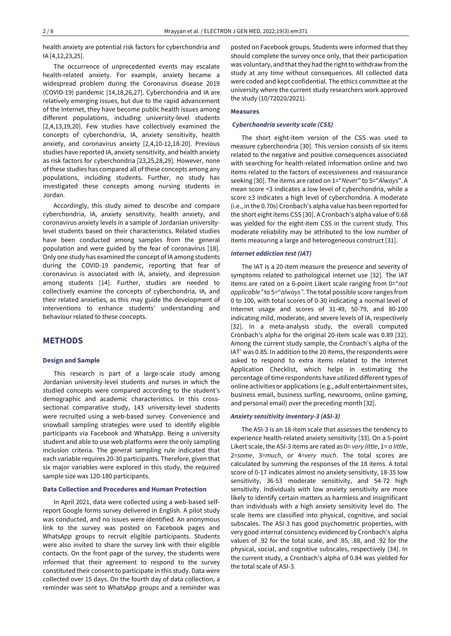health anxiety are potential risk factors for cyberchondria and IA [4,12,23,25].

The occurrence of unprecedented events may escalate health-related anxiety. For example, anxiety became a widespread problem during the Coronavirus disease 2019 (COVID-19) pandemic [14,18,26,27]. Cyberchondria and IA are relatively emerging issues, but due to the rapid advancement of the Internet, they have become public health issues among different populations, including university-level students [2,4,13,19,20]. Few studies have collectively examined the concepts of cyberchondria, IA, anxiety sensitivity, health anxiety, and coronavirus anxiety [2,4,10-12,18-20]. Previous studies have reported IA, anxiety sensitivity, and health anxiety as risk factors for cyberchondria [23,25,28,29]. However, none of these studies has compared all of these concepts among any populations, including students. Further, no study has investigated these concepts among nursing students in Jordan.

Accordingly, this study aimed to describe and compare cyberchondria, IA, anxiety sensitivity, health anxiety, and coronavirus anxiety levels in a sample of Jordanian universitylevel students based on their characteristics. Related studies have been conducted among samples from the general population and were guided by the fear of coronavirus [18]. Only one study has examined the concept of IA among students during the COVID-19 pandemic, reporting that fear of coronavirus is associated with IA, anxiety, and depression among students [14]. Further, studies are needed to collectively examine the concepts of cyberchondria, IA, and their related anxieties, as this may guide the development of interventions to enhance students' understanding and behaviour related to these concepts.

# **METHODS**

# **Design and Sample**

This research is part of a large-scale study among Jordanian university-level students and nurses in which the studied concepts were compared according to the student's demographic and academic characteristics. In this crosssectional comparative study, 143 university-level students were recruited using a web-based survey. Convenience and snowball sampling strategies were used to identify eligible participants via Facebook and WhatsApp. Being a university student and able to use web platforms were the only sampling inclusion criteria. The general sampling rule indicated that each variable requires 20-30 participants. Therefore, given that six major variables were explored in this study, the required sample size was 120-180 participants.

#### **Data Collection and Procedures and Human Protection**

In April 2021, data were collected using a web-based self‐ report Google forms survey delivered in English. A pilot study was conducted, and no issues were identified. An anonymous link to the survey was posted on Facebook pages and WhatsApp groups to recruit eligible participants. Students were also invited to share the survey link with their eligible contacts. On the front page of the survey, the students were informed that their agreement to respond to the survey constituted their consent to participate in this study. Data were collected over 15 days. On the fourth day of data collection, a reminder was sent to WhatsApp groups and a reminder was

posted on Facebook groups. Students were informed that they should complete the survey once only, that their participation was voluntary, and that they had the right to withdraw from the study at any time without consequences. All collected data were coded and kept confidential. The ethics committee at the university where the current study researchers work approved the study (10/72020/2021).

#### **Measures**

#### *Cyberchondria severity scale (CSS)*

The short eight-item version of the CSS was used to measure cyberchondria [30]. This version consists of six items related to the negative and positive consequences associated with searching for health-related information online and two items related to the factors of excessiveness and reassurance seeking [30]. The items are rated on 1="*Never*" to 5="*Always*". A mean score <3 indicates a low level of cyberchondria, while a score ≥3 indicates a high level of cyberchondria. A moderate (i.e., in the 0.70s) Cronbach's alpha value has been reported for the short eight items CSS [30]. A Cronbach's alpha value of 0.68 was yielded for the eight-item CSS in the current study. This moderate reliability may be attributed to the low number of items measuring a large and heterogeneous construct [31].

#### *Internet addiction test (IAT)*

The IAT is a 20-item measure the presence and severity of symptoms related to pathological internet use [32]. The IAT items are rated on a 6-point Likert scale ranging from 0="*not applicable"* to 5="*always"*. The total possible score ranges from 0 to 100, with total scores of 0-30 indicating a normal level of Internet usage and scores of 31-49, 50-79, and 80-100 indicating mild, moderate, and severe levels of IA, respectively [32]. In a meta-analysis study, the overall computed Cronbach's alpha for the original 20-item scale was 0.89 [32]. Among the current study sample, the Cronbach's alpha of the IAT' was 0.85. In addition to the 20 items, the respondents were asked to respond to extra items related to the Internet Application Checklist, which helps in estimating the percentage of time respondents have utilized different types of online activities or applications (e.g., adult entertainment sites, business email, business surfing, newsrooms, online gaming, and personal email) over the preceding month [32].

## *Anxiety sensitivity inventory-3 (ASI-3)*

The ASI-3 is an 18-item scale that assesses the tendency to experience health-related anxiety sensitivity [33]. On a 5-point Likert scale, the ASI-3 items are rated as 0= *very little*, 1= *a little*, 2=*some*, 3=*much*, or 4=*very much*. The total scores are calculated by summing the responses of the 18 items. A total score of 0-17 indicates almost no anxiety sensitivity, 18-35 low sensitivity, 36-53 moderate sensitivity, and 54-72 high sensitivity. Individuals with low anxiety sensitivity are more likely to identify certain matters as harmless and insignificant than individuals with a high anxiety sensitivity level do. The scale items are classified into physical, cognitive, and social subscales. The ASI-3 has good psychometric properties, with very good internal consistency evidenced by Cronbach's alpha values of .92 for the total scale, and .85, .88, and .92 for the physical, social, and cognitive subscales, respectively [34]. In the current study, a Cronbach's alpha of 0.84 was yielded for the total scale of ASI-3.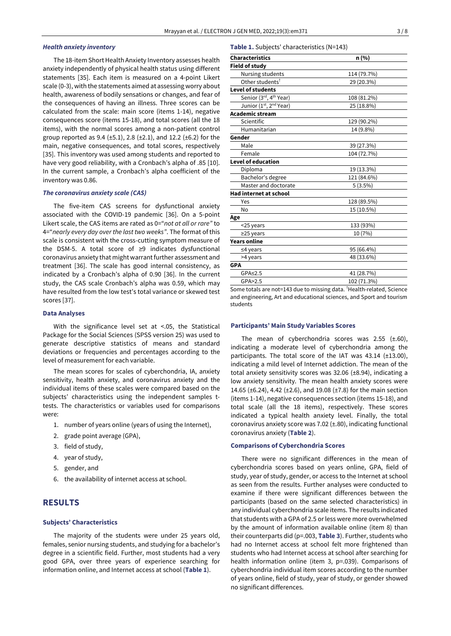# *Health anxiety inventory*

The 18-item Short Health Anxiety Inventory assesses health anxiety independently of physical health status using different statements [35]. Each item is measured on a 4-point Likert scale (0-3), with the statements aimed at assessing worry about health, awareness of bodily sensations or changes, and fear of the consequences of having an illness. Three scores can be calculated from the scale: main score (items 1-14), negative consequences score (items 15-18), and total scores (all the 18 items), with the normal scores among a non-patient control group reported as  $9.4$  ( $\pm 5.1$ ), 2.8 ( $\pm 2.1$ ), and 12.2 ( $\pm 6.2$ ) for the main, negative consequences, and total scores, respectively [35]. This inventory was used among students and reported to have very good reliability, with a Cronbach's alpha of .85 [10]. In the current sample, a Cronbach's alpha coefficient of the inventory was 0.86.

# *The coronavirus anxiety scale (CAS)*

The five-item CAS screens for dysfunctional anxiety associated with the COVID-19 pandemic [36]. On a 5-point Likert scale, the CAS items are rated as 0="*not at all or rare"* to 4="*nearly every day over the last two weeks"*. The format of this scale is consistent with the cross-cutting symptom measure of the DSM-5. A total score of ≥9 indicates dysfunctional coronavirus anxiety that might warrant further assessment and treatment [36]. The scale has good internal consistency, as indicated by a Cronbach's alpha of 0.90 [36]. In the current study, the CAS scale Cronbach's alpha was 0.59, which may have resulted from the low test's total variance or skewed test scores [37].

#### **Data Analyses**

With the significance level set at <.05, the Statistical Package for the Social Sciences (SPSS version 25) was used to generate descriptive statistics of means and standard deviations or frequencies and percentages according to the level of measurement for each variable.

The mean scores for scales of cyberchondria, IA, anxiety sensitivity, health anxiety, and coronavirus anxiety and the individual items of these scales were compared based on the subjects' characteristics using the independent samples ttests. The characteristics or variables used for comparisons were:

- 1. number of years online (years of using the Internet),
- 2. grade point average (GPA),
- 3. field of study,
- 4. year of study,
- 5. gender, and
- 6. the availability of internet access at school.

# **RESULTS**

#### **Subjects' Characteristics**

The majority of the students were under 25 years old, females, senior nursing students, and studying for a bachelor's degree in a scientific field. Further, most students had a very good GPA, over three years of experience searching for information online, and Internet access at school (**Table 1**).

#### **Table 1.** Subjects' characteristics (N=143)

| <b>Characteristics</b>             | n (%)       |  |  |
|------------------------------------|-------------|--|--|
| <b>Field of study</b>              |             |  |  |
| Nursing students                   | 114 (79.7%) |  |  |
| Other students <sup>†</sup>        | 29 (20.3%)  |  |  |
| <b>Level of students</b>           |             |  |  |
| Senior (3rd, 4 <sup>th</sup> Year) | 108 (81.2%) |  |  |
| Junior (1st, 2 <sup>nd</sup> Year) | 25 (18.8%)  |  |  |
| <b>Academic stream</b>             |             |  |  |
| Scientific                         | 129 (90.2%) |  |  |
| Humanitarian                       | 14 (9.8%)   |  |  |
| Gender                             |             |  |  |
| Male                               | 39 (27.3%)  |  |  |
| Female                             | 104 (72.7%) |  |  |
| <b>Level of education</b>          |             |  |  |
| Diploma                            | 19 (13.3%)  |  |  |
| Bachelor's degree                  | 121 (84.6%) |  |  |
| Master and doctorate               | $5(3.5\%)$  |  |  |
| Had internet at school             |             |  |  |
| Yes                                | 128 (89.5%) |  |  |
| No                                 | 15 (10.5%)  |  |  |
| Age                                |             |  |  |
| <25 years                          | 133 (93%)   |  |  |
| $\geq$ 25 years                    | 10 (7%)     |  |  |
| <b>Years online</b>                |             |  |  |
| $≤4$ years                         | 95 (66.4%)  |  |  |
| >4 years                           | 48 (33.6%)  |  |  |
| <b>GPA</b>                         |             |  |  |
| $GPA \leq 2.5$                     | 41 (28.7%)  |  |  |
| GPA>2.5                            | 102 (71.3%) |  |  |

Some totals are not=143 due to missing data. <sup>†</sup>Health-related, Science and engineering, Art and educational sciences, and Sport and tourism students

#### **Participants' Main Study Variables Scores**

The mean of cyberchondria scores was  $2.55$  ( $\pm$ .60), indicating a moderate level of cyberchondria among the participants. The total score of the IAT was 43.14 (±13.00), indicating a mild level of Internet addiction. The mean of the total anxiety sensitivity scores was 32.06 (±8.94), indicating a low anxiety sensitivity. The mean health anxiety scores were 14.65 ( $\pm$ 6.24), 4.42 ( $\pm$ 2.6), and 19.08 ( $\pm$ 7.8) for the main section (items 1-14), negative consequences section (items 15-18), and total scale (all the 18 items), respectively. These scores indicated a typical health anxiety level. Finally, the total coronavirus anxiety score was 7.02 (±.80), indicating functional coronavirus anxiety (**Table 2**).

## **Comparisons of Cyberchondria Scores**

There were no significant differences in the mean of cyberchondria scores based on years online, GPA, field of study, year of study, gender, or access to the Internet at school as seen from the results. Further analyses were conducted to examine if there were significant differences between the participants (based on the same selected characteristics) in any individual cyberchondria scale items. The results indicated that students with a GPA of 2.5 or less were more overwhelmed by the amount of information available online (item 8) than their counterparts did (p=.003, **Table 3**). Further, students who had no Internet access at school felt more frightened than students who had Internet access at school after searching for health information online (item 3, p=.039). Comparisons of cyberchondria individual item scores according to the number of years online, field of study, year of study, or gender showed no significant differences.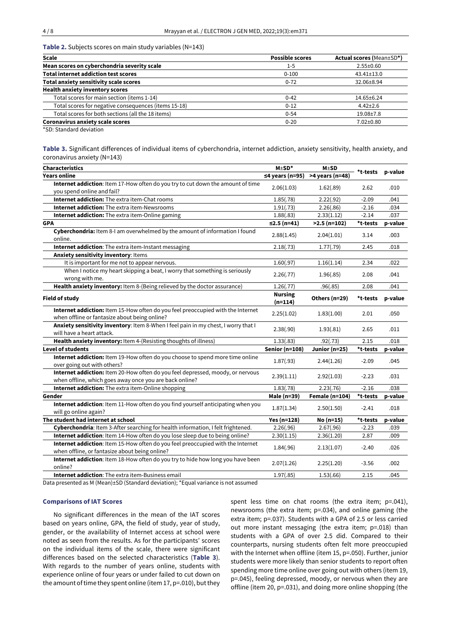**Table 2.** Subjects scores on main study variables (N=143)

| <b>Scale</b>                                         | <b>Possible scores</b> | <b>Actual scores (Mean±SD*)</b> |
|------------------------------------------------------|------------------------|---------------------------------|
| Mean scores on cyberchondria severity scale          | $1 - 5$                | $2.55 \pm 0.60$                 |
| <b>Total internet addiction test scores</b>          | $0 - 100$              | $43.41 \pm 13.0$                |
| Total anxiety sensitivity scale scores               | $0 - 72$               | 32.06±8.94                      |
| <b>Health anxiety inventory scores</b>               |                        |                                 |
| Total scores for main section (items 1-14)           | $0 - 42$               | 14.65±6.24                      |
| Total scores for negative consequences (items 15-18) | $0 - 12$               | $4.42 \pm 2.6$                  |
| Total scores for both sections (all the 18 items)    | $0 - 54$               | $19.08 \pm 7.8$                 |
| <b>Coronavirus anxiety scale scores</b>              | $0 - 20$               | $7.02 \pm 0.80$                 |
|                                                      |                        |                                 |

\*SD: Standard deviation

**Table 3.** Significant differences of individual items of cyberchondria, internet addiction, anxiety sensitivity, health anxiety, and coronavirus anxiety (N=143)

| <b>Characteristics</b>                                                                                                                    | $M \pm SD^*$                | $M \pm SD$            |          |         |
|-------------------------------------------------------------------------------------------------------------------------------------------|-----------------------------|-----------------------|----------|---------|
| <b>Years online</b>                                                                                                                       | $\leq$ 4 years (n=95)       | >4 years (n=48)       | *t-tests | p-value |
| Internet addiction: Item 17-How often do you try to cut down the amount of time<br>you spend online and fail?                             | 2.06(1.03)                  | 1.62(.89)             | 2.62     | .010    |
| Internet addiction: The extra item-Chat rooms                                                                                             | 1.85(.78)                   | 2.22(.92)             | $-2.09$  | .041    |
| <b>Internet addiction:</b> The extra item-Newsrooms                                                                                       | 1.91(.73)                   | 2.26(.86)             | $-2.16$  | .034    |
| Internet addiction: The extra item-Online gaming                                                                                          | 1.88(.83)                   | 2.33(1.12)            | $-2.14$  | .037    |
| <b>GPA</b>                                                                                                                                | ≤2.5 (n=41)                 | $>2.5$ (n=102)        | *t-tests | p-value |
| Cyberchondria: Item 8-I am overwhelmed by the amount of information I found<br>online.                                                    | 2.88(1.45)                  | 2.04(1.01)            | 3.14     | .003    |
| Internet addiction: The extra item-Instant messaging                                                                                      | 2.18(.73)                   | 1.77(.79)             | 2.45     | .018    |
| Anxiety sensitivity inventory: Items                                                                                                      |                             |                       |          |         |
| It is important for me not to appear nervous.                                                                                             | 1.60(.97)                   | 1.16(1.14)            | 2.34     | .022    |
| When I notice my heart skipping a beat, I worry that something is seriously<br>wrong with me.                                             | 2.26(.77)                   | 1.96(.85)             | 2.08     | .041    |
| Health anxiety inventory: Item 8-(Being relieved by the doctor assurance)                                                                 | 1.26(.77)                   | .96(.85)              | 2.08     | .041    |
| <b>Field of study</b>                                                                                                                     | <b>Nursing</b><br>$(n=114)$ | Others (n=29)         | *t-tests | p-value |
| Internet addiction: Item 15-How often do you feel preoccupied with the Internet<br>when offline or fantasize about being online?          | 2.25(1.02)                  | 1.83(1.00)            | 2.01     | .050    |
| Anxiety sensitivity inventory: Item 8-When I feel pain in my chest, I worry that I<br>will have a heart attack.                           | 2.38(.90)                   | 1.93(.81)             | 2.65     | .011    |
| Health anxiety inventory: Item 4-(Resisting thoughts of illness)                                                                          | 1.33(.83)                   | .92(.73)              | 2.15     | .018    |
| <b>Level of students</b>                                                                                                                  | Senior (n=108)              | Junior (n=25)         | *t-tests | p-value |
| Internet addiction: Item 19-How often do you choose to spend more time online<br>over going out with others?                              | 1.87(.93)                   | 2.44(1.26)            | $-2.09$  | .045    |
| Internet addiction: Item 20-How often do you feel depressed, moody, or nervous<br>when offline, which goes away once you are back online? | 2.39(1.11)                  | 2.92(1.03)            | $-2.23$  | .031    |
| Internet addiction: The extra item-Online shopping                                                                                        | 1.83(.78)                   | 2.23(.76)             | $-2.16$  | .038    |
| Gender                                                                                                                                    | Male (n=39)                 | <b>Female (n=104)</b> | *t-tests | p-value |
| Internet addiction: Item 11-How often do you find yourself anticipating when you<br>will go online again?                                 | 1.87(1.34)                  | 2.50(1.50)            | $-2.41$  | .018    |
| The student had internet at school                                                                                                        | Yes (n=128)                 | $No(n=15)$            | *t-tests | p-value |
| Cyberchondria: Item 3-After searching for health information, I felt frightened.                                                          | 2.26(.96)                   | 2.67(.96)             | $-2.23$  | .039    |
| Internet addiction: Item 14-How often do you lose sleep due to being online?                                                              | 2.30(1.15)                  | 2.36(1.20)            | 2.87     | .009    |
| Internet addiction: Item 15-How often do you feel preoccupied with the Internet<br>when offline, or fantasize about being online?         | 1.84(.96)                   | 2.13(1.07)            | $-2.40$  | .026    |
| Internet addiction: Item 18-How often do you try to hide how long you have been<br>online?                                                | 2.07(1.26)                  | 2.25(1.20)            | $-3.56$  | .002    |
| <b>Internet addiction:</b> The extra item-Business email                                                                                  | 1.97(.85)                   | 1.53(.66)             | 2.15     | .045    |

Data presented as M (Mean)±SD (Standard deviation); \*Equal variance is not assumed

#### **Comparisons of IAT Scores**

No significant differences in the mean of the IAT scores based on years online, GPA, the field of study, year of study, gender, or the availability of Internet access at school were noted as seen from the results. As for the participants' scores on the individual items of the scale, there were significant differences based on the selected characteristics (**Table 3**). With regards to the number of years online, students with experience online of four years or under failed to cut down on the amount of time they spent online (item 17, p=.010), but they

spent less time on chat rooms (the extra item; p=.041), newsrooms (the extra item; p=.034), and online gaming (the extra item; p=.037). Students with a GPA of 2.5 or less carried out more instant messaging (the extra item; p=.018) than students with a GPA of over 2.5 did. Compared to their counterparts, nursing students often felt more preoccupied with the Internet when offline (item 15, p=.050). Further, junior students were more likely than senior students to report often spending more time online over going out with others (item 19, p=.045), feeling depressed, moody, or nervous when they are offline (item 20, p=.031), and doing more online shopping (the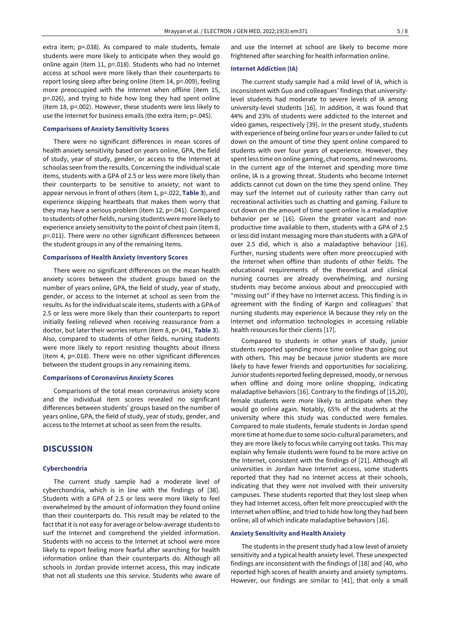extra item; p=.038). As compared to male students, female students were more likely to anticipate when they would go online again (item 11, p=.018). Students who had no Internet access at school were more likely than their counterparts to report losing sleep after being online (item 14, p=.009), feeling more preoccupied with the Internet when offline (item 15, p=.026), and trying to hide how long they had spent online (item 18, p=.002). However, these students were less likely to use the Internet for business emails (the extra item; p=.045).

#### **Comparisons of Anxiety Sensitivity Scores**

There were no significant differences in mean scores of health anxiety sensitivity based on years online, GPA, the field of study, year of study, gender, or access to the Internet at schoolas seen from the results. Concerning the individual scale items, students with a GPA of 2.5 or less were more likely than their counterparts to be sensitive to anxiety; not want to appear nervous in front of others (item 1, p=.022, **Table 3**), and experience skipping heartbeats that makes them worry that they may have a serious problem (item 12, p=.041). Compared to students of other fields, nursing students were more likely to experience anxiety sensitivity to the point of chest pain (item 8, p=.011). There were no other significant differences between the student groups in any of the remaining items.

#### **Comparisons of Health Anxiety Inventory Scores**

There were no significant differences on the mean health anxiety scores between the student groups based on the number of years online, GPA, the field of study, year of study, gender, or access to the Internet at school as seen from the results. As for the individual scale items, students with a GPA of 2.5 or less were more likely than their counterparts to report initially feeling relieved when receiving reassurance from a doctor, but later their worries return (item 8, p=.041, **Table 3**). Also, compared to students of other fields, nursing students were more likely to report resisting thoughts about illness (item 4, p=.018). There were no other significant differences between the student groups in any remaining items.

## **Comparisons of Coronavirus Anxiety Scores**

Comparisons of the total mean coronavirus anxiety score and the individual item scores revealed no significant differences between students' groups based on the number of years online, GPA, the field of study, year of study, gender, and access to the Internet at school as seen from the results.

# **DISCUSSION**

#### **Cyberchondria**

The current study sample had a moderate level of cyberchondria, which is in line with the findings of [38]. Students with a GPA of 2.5 or less were more likely to feel overwhelmed by the amount of information they found online than their counterparts do. This result may be related to the fact that it is not easy for average or below-average students to surf the Internet and comprehend the yielded information. Students with no access to the Internet at school were more likely to report feeling more fearful after searching for health information online than their counterparts do. Although all schools in Jordan provide internet access, this may indicate that not all students use this service. Students who aware of

and use the Internet at school are likely to become more frightened after searching for health information online.

#### **Internet Addiction (IA)**

The current study sample had a mild level of IA, which is inconsistent with Guo and colleagues' findings that universitylevel students had moderate to severe levels of IA among university-level students [16]. In addition, it was found that 44% and 23% of students were addicted to the Internet and video games, respectively [39]. In the present study, students with experience of being online four years or under failed to cut down on the amount of time they spent online compared to students with over four years of experience. However, they spent less time on online gaming, chat rooms, and newsrooms. In the current age of the Internet and spending more time online, IA is a growing threat. Students who become Internet addicts cannot cut down on the time they spend online. They may surf the Internet out of curiosity rather than carry out recreational activities such as chatting and gaming. Failure to cut down on the amount of time spent online is a maladaptive behavior per se [16]. Given the greater vacant and nonproductive time available to them, students with a GPA of 2.5 or less did instant messaging more than students with a GPA of over 2.5 did, which is also a maladaptive behaviour [16]. Further, nursing students were often more preoccupied with the Internet when offline than students of other fields. The educational requirements of the theoretical and clinical nursing courses are already overwhelming, and nursing students may become anxious about and preoccupied with "missing out" if they have no Internet access. This finding is in agreement with the finding of Kargın and colleagues' that nursing students may experience IA because they rely on the Internet and information technologies in accessing reliable health resources for their clients [17].

Compared to students in other years of study, junior students reported spending more time online than going out with others. This may be because junior students are more likely to have fewer friends and opportunities for socializing. Junior students reported feeling depressed, moody, or nervous when offline and doing more online shopping, indicating maladaptive behaviors [16]. Contrary to the findings of [15,20], female students were more likely to anticipate when they would go online again. Notably, 65% of the students at the university where this study was conducted were females. Compared to male students, female students in Jordan spend more time at home due to some socio-cultural parameters, and they are more likely to focus while carrying out tasks. This may explain why female students were found to be more active on the Internet, consistent with the findings of [21]. Although all universities in Jordan have Internet access, some students reported that they had no Internet access at their schools, indicating that they were not involved with their university campuses. These students reported that they lost sleep when they had Internet access, often felt more preoccupied with the Internet when offline, and tried to hide how long they had been online, all of which indicate maladaptive behaviors [16].

# **Anxiety Sensitivity and Health Anxiety**

The students in the present study had a low level of anxiety sensitivity and a typical health anxiety level. These unexpected findings are inconsistent with the findings of [18] and [40, who reported high scores of health anxiety and anxiety symptoms. However, our findings are similar to [41], that only a small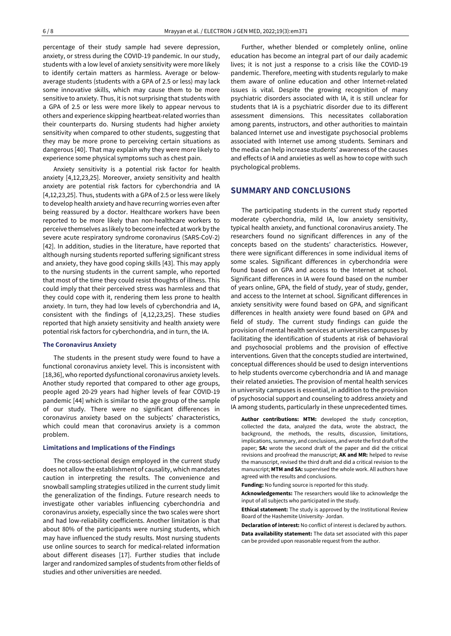percentage of their study sample had severe depression, anxiety, or stress during the COVID-19 pandemic. In our study, students with a low level of anxiety sensitivity were more likely to identify certain matters as harmless. Average or belowaverage students (students with a GPA of 2.5 or less) may lack some innovative skills, which may cause them to be more sensitive to anxiety. Thus, it is not surprising that students with a GPA of 2.5 or less were more likely to appear nervous to others and experience skipping heartbeat-related worries than their counterparts do. Nursing students had higher anxiety sensitivity when compared to other students, suggesting that they may be more prone to perceiving certain situations as dangerous [40]. That may explain why they were more likely to experience some physical symptoms such as chest pain.

Anxiety sensitivity is a potential risk factor for health anxiety [4,12,23,25]. Moreover, anxiety sensitivity and health anxiety are potential risk factors for cyberchondria and IA [4,12,23,25]. Thus, students with a GPA of 2.5 or less were likely to develop health anxiety and have recurring worries even after being reassured by a doctor. Healthcare workers have been reported to be more likely than non-healthcare workers to perceive themselves as likely to become infected at work by the severe acute respiratory syndrome coronavirus (SARS-CoV-2) [42]. In addition, studies in the literature, have reported that although nursing students reported suffering significant stress and anxiety, they have good coping skills [43]. This may apply to the nursing students in the current sample, who reported that most of the time they could resist thoughts of illness. This could imply that their perceived stress was harmless and that they could cope with it, rendering them less prone to health anxiety. In turn, they had low levels of cyberchondria and IA, consistent with the findings of [4,12,23,25]. These studies reported that high anxiety sensitivity and health anxiety were potential risk factors for cyberchondria, and in turn, the IA.

#### **The Coronavirus Anxiety**

The students in the present study were found to have a functional coronavirus anxiety level. This is inconsistent with [18,36], who reported dysfunctional coronavirus anxiety levels. Another study reported that compared to other age groups, people aged 20-29 years had higher levels of fear COVID-19 pandemic [44] which is similar to the age group of the sample of our study. There were no significant differences in coronavirus anxiety based on the subjects' characteristics, which could mean that coronavirus anxiety is a common problem.

#### **Limitations and Implications of the Findings**

The cross-sectional design employed in the current study does not allow the establishment of causality, which mandates caution in interpreting the results. The convenience and snowball sampling strategies utilized in the current study limit the generalization of the findings. Future research needs to investigate other variables influencing cyberchondria and coronavirus anxiety, especially since the two scales were short and had low-reliability coefficients. Another limitation is that about 80% of the participants were nursing students, which may have influenced the study results. Most nursing students use online sources to search for medical-related information about different diseases [17]. Further studies that include larger and randomized samples of students from other fields of studies and other universities are needed.

Further, whether blended or completely online, online education has become an integral part of our daily academic lives; it is not just a response to a crisis like the COVID-19 pandemic. Therefore, meeting with students regularly to make them aware of online education and other Internet-related issues is vital. Despite the growing recognition of many psychiatric disorders associated with IA, it is still unclear for students that IA is a psychiatric disorder due to its different assessment dimensions. This necessitates collaboration among parents, instructors, and other authorities to maintain balanced Internet use and investigate psychosocial problems associated with Internet use among students. Seminars and the media can help increase students' awareness of the causes and effects of IA and anxieties as well as how to cope with such psychological problems.

# **SUMMARY AND CONCLUSIONS**

The participating students in the current study reported moderate cyberchondria, mild IA, low anxiety sensitivity, typical health anxiety, and functional coronavirus anxiety. The researchers found no significant differences in any of the concepts based on the students' characteristics. However, there were significant differences in some individual items of some scales. Significant differences in cyberchondria were found based on GPA and access to the Internet at school. Significant differences in IA were found based on the number of years online, GPA, the field of study, year of study, gender, and access to the Internet at school. Significant differences in anxiety sensitivity were found based on GPA, and significant differences in health anxiety were found based on GPA and field of study. The current study findings can guide the provision of mental health services at universities campuses by facilitating the identification of students at risk of behavioral and psychosocial problems and the provision of effective interventions. Given that the concepts studied are intertwined, conceptual differences should be used to design interventions to help students overcome cyberchondria and IA and manage their related anxieties. The provision of mental health services in university campuses is essential, in addition to the provision of psychosocial support and counseling to address anxiety and IA among students, particularly in these unprecedented times.

**Author contributions: MTM:** developed the study conception, collected the data, analyzed the data, wrote the abstract, the background, the methods, the results, discussion, limitations, implications, summary, and conclusions, and wrote the first draft ofthe paper; **SA:** wrote the second draft of the paper and did the critical revisions and proofread the manuscript; **AK and MR:** helped to revise the manuscript, revised the third draft and did a critical revision to the manuscript; **MTM and SA:** supervised the whole work. All authors have agreed with the results and conclusions.

**Funding:** No funding source is reported for this study.

**Acknowledgements:** The researchers would like to acknowledge the input of all subjects who participated in the study.

**Ethical statement:** The study is approved by the Institutional Review Board of the Hashemite University- Jordan.

**Declaration of interest:** No conflict of interest is declared by authors. **Data availability statement:** The data set associated with this paper can be provided upon reasonable request from the author.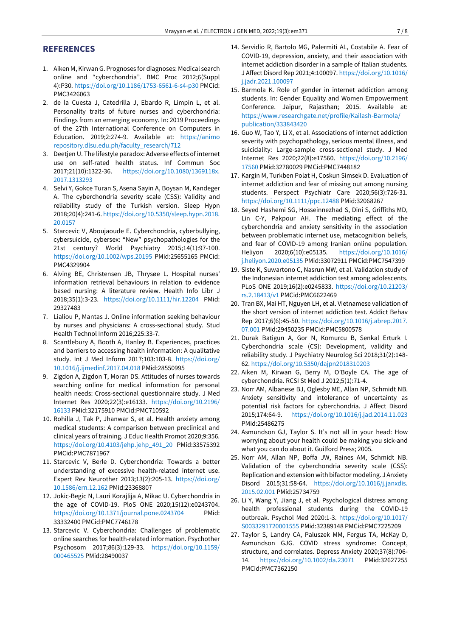# **REFERENCES**

- 1. Aiken M, Kirwan G. Prognoses for diagnoses: Medical search online and "cyberchondria". BMC Proc 2012;6(Suppl 4):P30. <https://doi.org/10.1186/1753-6561-6-s4-p30> PMCid: PMC3426063
- 2. de la Cuesta J, Catedrilla J, Ebardo R, Limpin L, et al. Personality traits of future nurses and cyberchondria: Findings from an emerging economy. In: 2019 Proceedings of the 27th International Conference on Computers in Education. 2019;2:274-9. Available at: https://animo repository.dlsu.edu.ph/faculty\_research/712
- 3. Deetjen U. The lifestyle paradox: Adverse effects of internet use on self-rated health status. Inf Commun Soc 2017;21(10):1322-36. [https://doi.org/10.1080/1369118x.](https://doi.org/10.1080/1369118x.2017.1313293) [2017.1313293](https://doi.org/10.1080/1369118x.2017.1313293)
- 4. Selvi Y, Gokce Turan S, Asena Sayin A, Boysan M, Kandeger A. The cyberchondria severity scale (CSS): Validity and reliability study of the Turkish version. Sleep Hypn 2018;20(4):241-6. [https://doi.org/10.5350/sleep.hypn.2018.](https://doi.org/10.5350/sleep.hypn.2018.20.0157) [20.0157](https://doi.org/10.5350/sleep.hypn.2018.20.0157)
- 5. Starcevic V, Aboujaoude E. Cyberchondria, cyberbullying, cybersuicide, cybersex: "New" psychopathologies for the 21st century? World Psychiatry 2015;14(1):97-100. <https://doi.org/10.1002/wps.20195> PMid:25655165 PMCid: PMC4329904
- 6. Alving BE, Christensen JB, Thrysøe L. Hospital nurses' information retrieval behaviours in relation to evidence based nursing: A literature review. Health Info Libr J 2018;35(1):3-23. <https://doi.org/10.1111/hir.12204> PMid: 29327483
- 7. Lialiou P, Mantas J. Online information seeking behaviour by nurses and physicians: A cross-sectional study. Stud Health Technol Inform 2016;225:33-7.
- 8. Scantlebury A, Booth A, Hanley B. Experiences, practices and barriers to accessing health information: A qualitative study. Int J Med Inform 2017;103:103-8. [https://doi.org/](https://doi.org/10.1016/j.ijmedinf.2017.04.018) [10.1016/j.ijmedinf.2017.04.018](https://doi.org/10.1016/j.ijmedinf.2017.04.018) PMid:28550995
- 9. Zigdon A, Zigdon T, Moran DS. Attitudes of nurses towards searching online for medical information for personal health needs: Cross-sectional questionnaire study. J Med Internet Res 2020;22(3):e16133. [https://doi.org/10.2196/](https://doi.org/10.2196/16133) [16133](https://doi.org/10.2196/16133) PMid:32175910 PMCid:PMC710592
- 10. Rohilla J, Tak P, Jhanwar S, et al. Health anxiety among medical students: A comparison between preclinical and clinical years of training. J Educ Health Promot 2020;9:356. [https://doi.org/10.4103/jehp.jehp\\_491\\_20](https://doi.org/10.4103/jehp.jehp_491_20) PMid:33575392 PMCid:PMC7871967
- 11. Starcevic V, Berle D. Cyberchondria: Towards a better understanding of excessive health-related internet use. Expert Rev Neurother 2013;13(2):205-13. [https://doi.org/](https://doi.org/10.1586/ern.12.162) [10.1586/ern.12.162](https://doi.org/10.1586/ern.12.162) PMid:23368807
- 12. Jokic-Begic N, Lauri Korajlija A, Mikac U. Cyberchondria in the age of COVID-19. PloS ONE 2020;15(12):e0243704. <https://doi.org/10.1371/journal.pone.0243704> PMid: 33332400 PMCid:PMC7746178
- 13. Starcevic V. Cyberchondria: Challenges of problematic online searches for health-related information. Psychother Psychosom 2017;86(3):129-33. [https://doi.org/10.1159/](https://doi.org/10.1159/000465525) [000465525](https://doi.org/10.1159/000465525) PMid:28490037
- 14. Servidio R, Bartolo MG, Palermiti AL, Costabile A. Fear of COVID-19, depression, anxiety, and their association with internet addiction disorder in a sample of Italian students. J Affect Disord Rep 2021;4:100097. [https://doi.org/10.1016/](https://doi.org/10.1016/j.jadr.2021.100097) [j.jadr.2021.100097](https://doi.org/10.1016/j.jadr.2021.100097)
- 15. Barmola K. Role of gender in internet addiction among students. In: Gender Equality and Women Empowerment Conference. Jaipur, Rajasthan; 2015. Available at: [https://www.researchgate.net/profile/Kailash-Barmola/](https://www.researchgate.net/profile/Kailash-Barmola/publication/333843420) [publication/333843420](https://www.researchgate.net/profile/Kailash-Barmola/publication/333843420)
- 16. Guo W, Tao Y, Li X, et al. Associations of internet addiction severity with psychopathology, serious mental illness, and suicidality: Large-sample cross-sectional study. J Med Internet Res 2020;22(8):e17560. [https://doi.org/10.2196/](https://doi.org/10.2196/17560) [17560](https://doi.org/10.2196/17560) PMid:32780029 PMCid:PMC7448182
- 17. Kargin M, Turkben Polat H, Coskun Simsek D. Evaluation of internet addiction and fear of missing out among nursing students. Perspect Psychiatr Care 2020;56(3):726-31. <https://doi.org/10.1111/ppc.12488> PMid:32068267
- 18. Seyed Hashemi SG, Hosseinnezhad S, Dini S, Griffiths MD, Lin C-Y, Pakpour AH. The mediating effect of the cyberchondria and anxiety sensitivity in the association between problematic internet use, metacognition beliefs, and fear of COVID-19 among Iranian online population. Heliyon 2020;6(10):e05135. [https://doi.org/10.1016/](https://doi.org/10.1016/j.heliyon.2020.e05135) [j.heliyon.2020.e05135](https://doi.org/10.1016/j.heliyon.2020.e05135) PMid:33072911 PMCid:PMC7547399
- 19. Siste K, Suwartono C, Nasrun MW, et al. Validation study of the Indonesian internet addiction test among adolescents. PLoS ONE 2019;16(2):e0245833. [https://doi.org/10.21203/](https://doi.org/10.21203/rs.2.18413/v1) [rs.2.18413/v1](https://doi.org/10.21203/rs.2.18413/v1) PMCid:PMC6622469
- 20. Tran BX, Mai HT, Nguyen LH, et al. Vietnamese validation of the short version of internet addiction test. Addict Behav Rep 2017;6(6):45-50. [https://doi.org/10.1016/j.abrep.2017.](https://doi.org/10.1016/j.abrep.2017.07.001) [07.001](https://doi.org/10.1016/j.abrep.2017.07.001) PMid:29450235 PMCid:PMC5800578
- 21. Durak Batigun A, Gor N, Komurcu B, Senkal Erturk I. Cyberchondria scale (CS): Development, validity and reliability study. J Psychiatry Neurolog Sci 2018;31(2):148- 62. <https://doi.org/10.5350/dajpn2018310203>
- 22. Aiken M, Kirwan G, Berry M, O'Boyle CA. The age of cyberchondria. RCSI St Med J 2012;5(1):71-4.
- 23. Norr AM, Albanese BJ, Oglesby ME, Allan NP, Schmidt NB. Anxiety sensitivity and intolerance of uncertainty as potential risk factors for cyberchondria. J Affect Disord 2015;174:64-9. <https://doi.org/10.1016/j.jad.2014.11.023> PMid:25486275
- 24. Asmundson GJ, Taylor S. It's not all in your head: How worrying about your health could be making you sick-and what you can do about it. Guilford Press; 2005.
- 25. Norr AM, Allan NP, Boffa JW, Raines AM, Schmidt NB. Validation of the cyberchondria severity scale (CSS): Replication and extension with bifactor modeling. J Anxiety Disord 2015;31:58-64. [https://doi.org/10.1016/j.janxdis.](https://doi.org/10.1016/j.janxdis.2015.02.001) [2015.02.001](https://doi.org/10.1016/j.janxdis.2015.02.001) PMid:25734759
- 26. Li Y, Wang Y, Jiang J, et al. Psychological distress among health professional students during the COVID-19 outbreak. Psychol Med 2020:1-3. [https://doi.org/10.1017/](https://doi.org/10.1017/S0033291720001555) [S0033291720001555](https://doi.org/10.1017/S0033291720001555) PMid:32389148 PMCid:PMC7225209
- 27. Taylor S, Landry CA, Paluszek MM, Fergus TA, McKay D, Asmundson GJG. COVID stress syndrome: Concept, structure, and correlates. Depress Anxiety 2020;37(8):706- 14. <https://doi.org/10.1002/da.23071> PMid:32627255 PMCid:PMC7362150